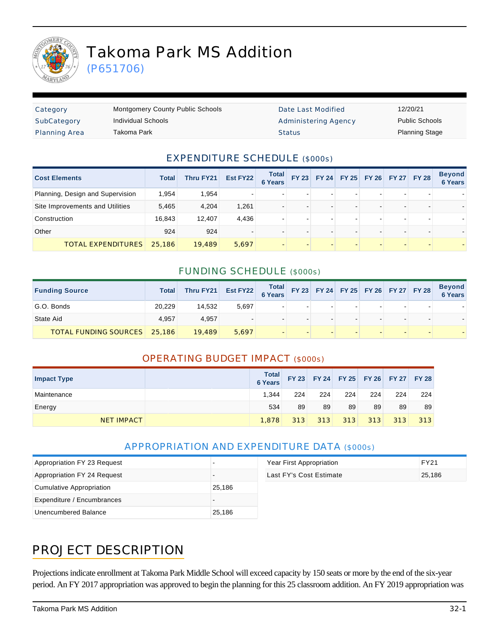

# Takoma Park MS Addition

(P651706)

| Category             | <b>Montgomery County Public Schools</b> | Date Last Modified   | 12/20/21              |
|----------------------|-----------------------------------------|----------------------|-----------------------|
| SubCategory          | Individual Schools                      | Administering Agency | <b>Public Schools</b> |
| <b>Planning Area</b> | Takoma Park                             | <b>Status</b>        | <b>Planning Stage</b> |

#### EXPENDITURE SCHEDULE (\$000s)

| <b>Cost Elements</b>             | <b>Total</b> | Thru FY21 | Est FY22 | <b>Total</b><br><b>6 Years</b> | <b>FY 23</b> |   | FY 24 FY 25 FY 26 FY 27 FY 28 |  | <b>Beyond</b><br><b>6 Years</b> |
|----------------------------------|--------------|-----------|----------|--------------------------------|--------------|---|-------------------------------|--|---------------------------------|
| Planning, Design and Supervision | 1,954        | 1,954     |          |                                |              |   |                               |  |                                 |
| Site Improvements and Utilities  | 5,465        | 4.204     | 1,261    |                                |              |   |                               |  |                                 |
| Construction                     | 16.843       | 12.407    | 4.436    |                                |              | - |                               |  |                                 |
| Other                            | 924          | 924       |          |                                |              | - |                               |  |                                 |
| TOTAL EXPENDITURES               | 25,186       | 19,489    | 5.697    |                                |              |   |                               |  |                                 |

#### FUNDING SCHEDULE (\$000s)

| <b>Funding Source</b>        | <b>Total</b> | Thru FY21 | Est FY22 Total FY 23 FY 24 FY 25 FY 26 FY 27 FY 28 |  |   |  |  | Beyond<br>6 Years |
|------------------------------|--------------|-----------|----------------------------------------------------|--|---|--|--|-------------------|
| G.O. Bonds                   | 20.229       | 14.532    | 5,697                                              |  |   |  |  |                   |
| State Aid                    | 4.957        | 4.957     |                                                    |  | - |  |  |                   |
| <b>TOTAL FUNDING SOURCES</b> | 25,186       | 19,489    | 5.697                                              |  |   |  |  |                   |

#### OPERATING BUDGET IMPACT (\$000s)

| <b>Impact Type</b> | <b>Total</b><br>6 Years |     |     |     |     |     | FY 23 FY 24 FY 25 FY 26 FY 27 FY 28 |
|--------------------|-------------------------|-----|-----|-----|-----|-----|-------------------------------------|
| Maintenance        | 1.344                   | 224 | 224 | 224 | 224 | 224 | 224                                 |
| Energy             | 534                     | 89  | 89  | 89  | 89  | 89  | 89                                  |
| <b>NET IMPACT</b>  | 1.878                   | 313 | 313 | 313 | 313 | 313 | 313                                 |

#### APPROPRIATION AND EXPENDITURE DATA (\$000s)

| Appropriation FY 23 Request |        | Year First Appropriation | FY21   |
|-----------------------------|--------|--------------------------|--------|
| Appropriation FY 24 Request |        | Last FY's Cost Estimate  | 25,186 |
| Cumulative Appropriation    | 25,186 |                          |        |
| Expenditure / Encumbrances  |        |                          |        |
| Unencumbered Balance        | 25,186 |                          |        |

### PROJECT DESCRIPTION

Projections indicate enrollment at Takoma Park Middle School will exceed capacity by 150 seats or more by the end of the six-year period. An FY 2017 appropriation was approved to begin the planning for this 25 classroom addition. An FY 2019 appropriation was